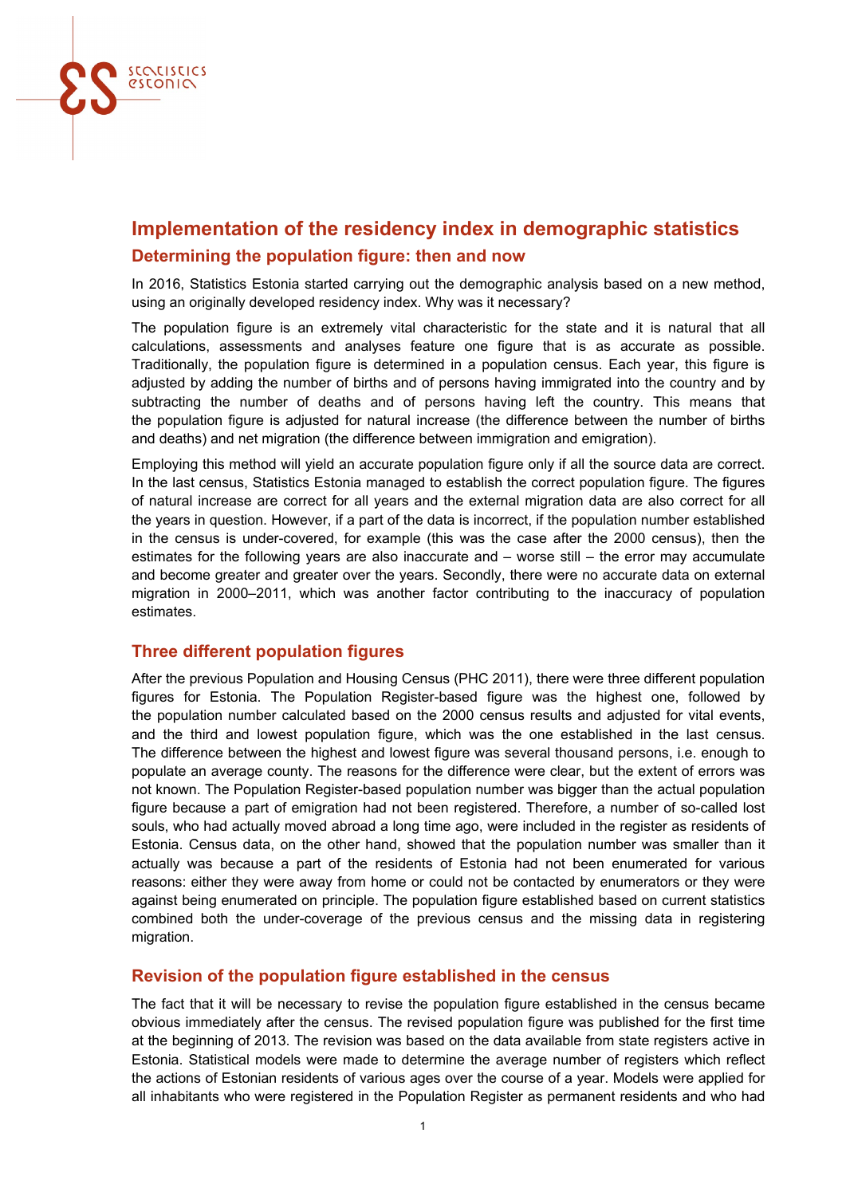

# **Implementation of the residency index in demographic statistics Determining the population figure: then and now**

In 2016, Statistics Estonia started carrying out the demographic analysis based on a new method, using an originally developed residency index. Why was it necessary?

The population figure is an extremely vital characteristic for the state and it is natural that all calculations, assessments and analyses feature one figure that is as accurate as possible. Traditionally, the population figure is determined in a population census. Each year, this figure is adjusted by adding the number of births and of persons having immigrated into the country and by subtracting the number of deaths and of persons having left the country. This means that the population figure is adjusted for natural increase (the difference between the number of births and deaths) and net migration (the difference between immigration and emigration).

Employing this method will yield an accurate population figure only if all the source data are correct. In the last census, Statistics Estonia managed to establish the correct population figure. The figures of natural increase are correct for all years and the external migration data are also correct for all the years in question. However, if a part of the data is incorrect, if the population number established in the census is under-covered, for example (this was the case after the 2000 census), then the estimates for the following years are also inaccurate and – worse still – the error may accumulate and become greater and greater over the years. Secondly, there were no accurate data on external migration in 2000–2011, which was another factor contributing to the inaccuracy of population estimates.

## **Three different population figures**

After the previous Population and Housing Census (PHC 2011), there were three different population figures for Estonia. The Population Register-based figure was the highest one, followed by the population number calculated based on the 2000 census results and adjusted for vital events, and the third and lowest population figure, which was the one established in the last census. The difference between the highest and lowest figure was several thousand persons, i.e. enough to populate an average county. The reasons for the difference were clear, but the extent of errors was not known. The Population Register-based population number was bigger than the actual population figure because a part of emigration had not been registered. Therefore, a number of so-called lost souls, who had actually moved abroad a long time ago, were included in the register as residents of Estonia. Census data, on the other hand, showed that the population number was smaller than it actually was because a part of the residents of Estonia had not been enumerated for various reasons: either they were away from home or could not be contacted by enumerators or they were against being enumerated on principle. The population figure established based on current statistics combined both the under-coverage of the previous census and the missing data in registering migration.

## **Revision of the population figure established in the census**

The fact that it will be necessary to revise the population figure established in the census became obvious immediately after the census. The revised population figure was published for the first time at the beginning of 2013. The revision was based on the data available from state registers active in Estonia. Statistical models were made to determine the average number of registers which reflect the actions of Estonian residents of various ages over the course of a year. Models were applied for all inhabitants who were registered in the Population Register as permanent residents and who had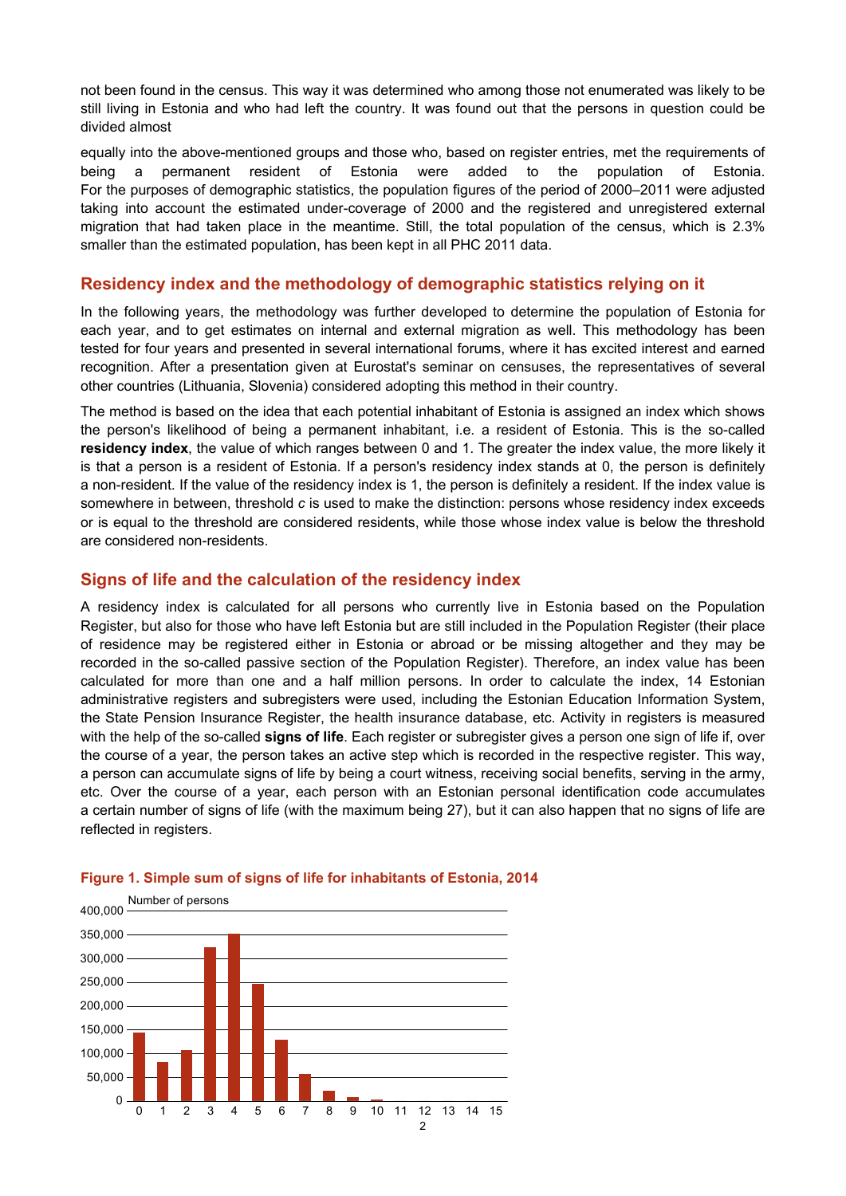not been found in the census. This way it was determined who among those not enumerated was likely to be still living in Estonia and who had left the country. It was found out that the persons in question could be divided almost

equally into the above-mentioned groups and those who, based on register entries, met the requirements of being a permanent resident of Estonia were added to the population of Estonia. For the purposes of demographic statistics, the population figures of the period of 2000–2011 were adjusted taking into account the estimated under-coverage of 2000 and the registered and unregistered external migration that had taken place in the meantime. Still, the total population of the census, which is 2.3% smaller than the estimated population, has been kept in all PHC 2011 data.

#### **Residency index and the methodology of demographic statistics relying on it**

In the following years, the methodology was further developed to determine the population of Estonia for each year, and to get estimates on internal and external migration as well. This methodology has been tested for four years and presented in several international forums, where it has excited interest and earned recognition. After a presentation given at Eurostat's seminar on censuses, the representatives of several other countries (Lithuania, Slovenia) considered adopting this method in their country.

The method is based on the idea that each potential inhabitant of Estonia is assigned an index which shows the person's likelihood of being a permanent inhabitant, i.e. a resident of Estonia. This is the so-called **residency index**, the value of which ranges between 0 and 1. The greater the index value, the more likely it is that a person is a resident of Estonia. If a person's residency index stands at 0, the person is definitely a non-resident. If the value of the residency index is 1, the person is definitely a resident. If the index value is somewhere in between, threshold *c* is used to make the distinction: persons whose residency index exceeds or is equal to the threshold are considered residents, while those whose index value is below the threshold are considered non-residents.

## **Signs of life and the calculation of the residency index**

A residency index is calculated for all persons who currently live in Estonia based on the Population Register, but also for those who have left Estonia but are still included in the Population Register (their place of residence may be registered either in Estonia or abroad or be missing altogether and they may be recorded in the so-called passive section of the Population Register). Therefore, an index value has been calculated for more than one and a half million persons. In order to calculate the index, 14 Estonian administrative registers and subregisters were used, including the Estonian Education Information System, the State Pension Insurance Register, the health insurance database, etc. Activity in registers is measured with the help of the so-called **signs of life**. Each register or subregister gives a person one sign of life if, over the course of a year, the person takes an active step which is recorded in the respective register. This way, a person can accumulate signs of life by being a court witness, receiving social benefits, serving in the army, etc. Over the course of a year, each person with an Estonian personal identification code accumulates a certain number of signs of life (with the maximum being 27), but it can also happen that no signs of life are reflected in registers.



#### **Figure 1. Simple sum of signs of life for inhabitants of Estonia, 2014**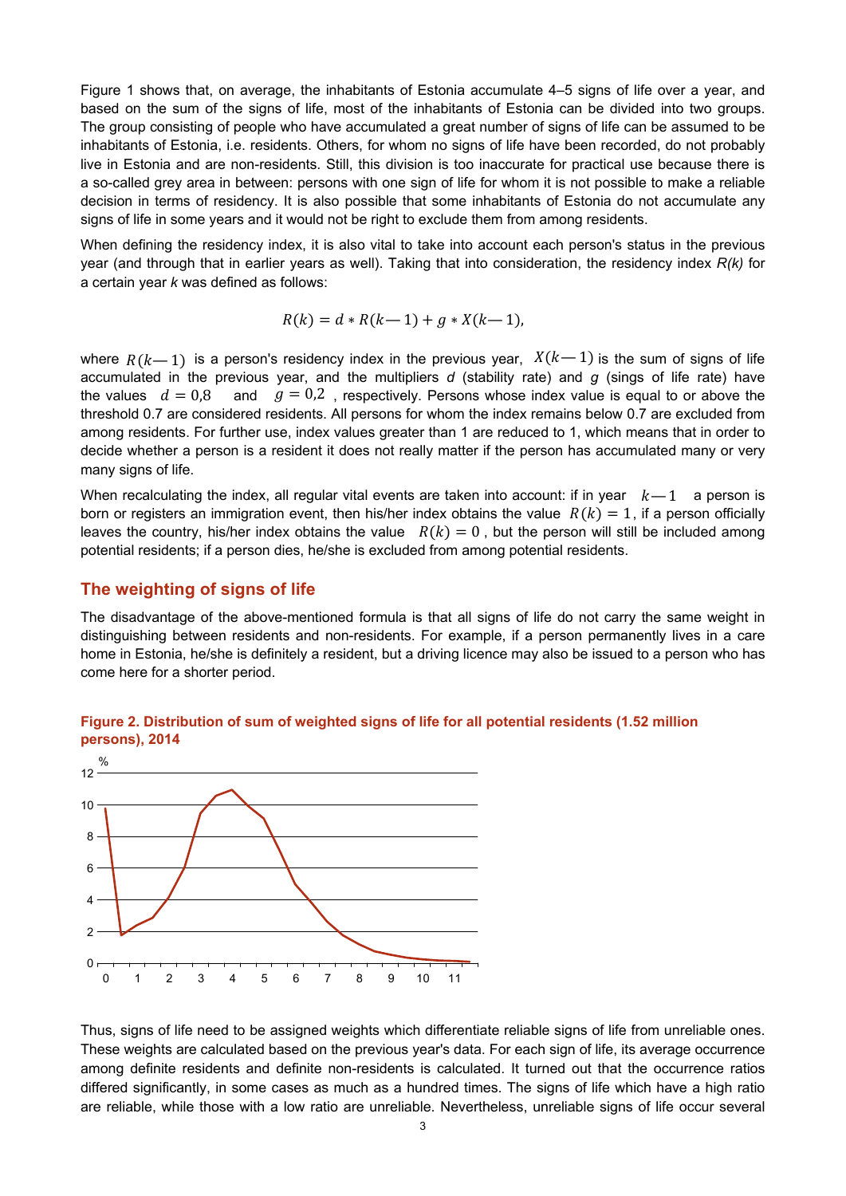Figure 1 shows that, on average, the inhabitants of Estonia accumulate 4–5 signs of life over a year, and based on the sum of the signs of life, most of the inhabitants of Estonia can be divided into two groups. The group consisting of people who have accumulated a great number of signs of life can be assumed to be inhabitants of Estonia, i.e. residents. Others, for whom no signs of life have been recorded, do not probably live in Estonia and are non-residents. Still, this division is too inaccurate for practical use because there is a so-called grey area in between: persons with one sign of life for whom it is not possible to make a reliable decision in terms of residency. It is also possible that some inhabitants of Estonia do not accumulate any signs of life in some years and it would not be right to exclude them from among residents.

When defining the residency index, it is also vital to take into account each person's status in the previous year (and through that in earlier years as well). Taking that into consideration, the residency index *R(k)* for a certain year *k* was defined as follows:

$$
R(k) = d * R(k-1) + g * X(k-1),
$$

where  $R(k-1)$  is a person's residency index in the previous year,  $|X(k-1)|$  is the sum of signs of life accumulated in the previous year, and the multipliers *d* (stability rate) and *g* (sings of life rate) have the values  $d = 0.8$  and  $g = 0.2$ , respectively. Persons whose index value is equal to or above the threshold 0.7 are considered residents. All persons for whom the index remains below 0.7 are excluded from among residents. For further use, index values greater than 1 are reduced to 1, which means that in order to decide whether a person is a resident it does not really matter if the person has accumulated many or very many signs of life.

When recalculating the index, all regular vital events are taken into account: if in year  $k=1$  a person is born or registers an immigration event, then his/her index obtains the value  $R(k) = 1$ , if a person officially leaves the country, his/her index obtains the value  $R(k) = 0$ , but the person will still be included among potential residents; if a person dies, he/she is excluded from among potential residents.

## **The weighting of signs of life**

The disadvantage of the above-mentioned formula is that all signs of life do not carry the same weight in distinguishing between residents and non-residents. For example, if a person permanently lives in a care home in Estonia, he/she is definitely a resident, but a driving licence may also be issued to a person who has come here for a shorter period.





Thus, signs of life need to be assigned weights which differentiate reliable signs of life from unreliable ones. These weights are calculated based on the previous year's data. For each sign of life, its average occurrence among definite residents and definite non-residents is calculated. It turned out that the occurrence ratios differed significantly, in some cases as much as a hundred times. The signs of life which have a high ratio are reliable, while those with a low ratio are unreliable. Nevertheless, unreliable signs of life occur several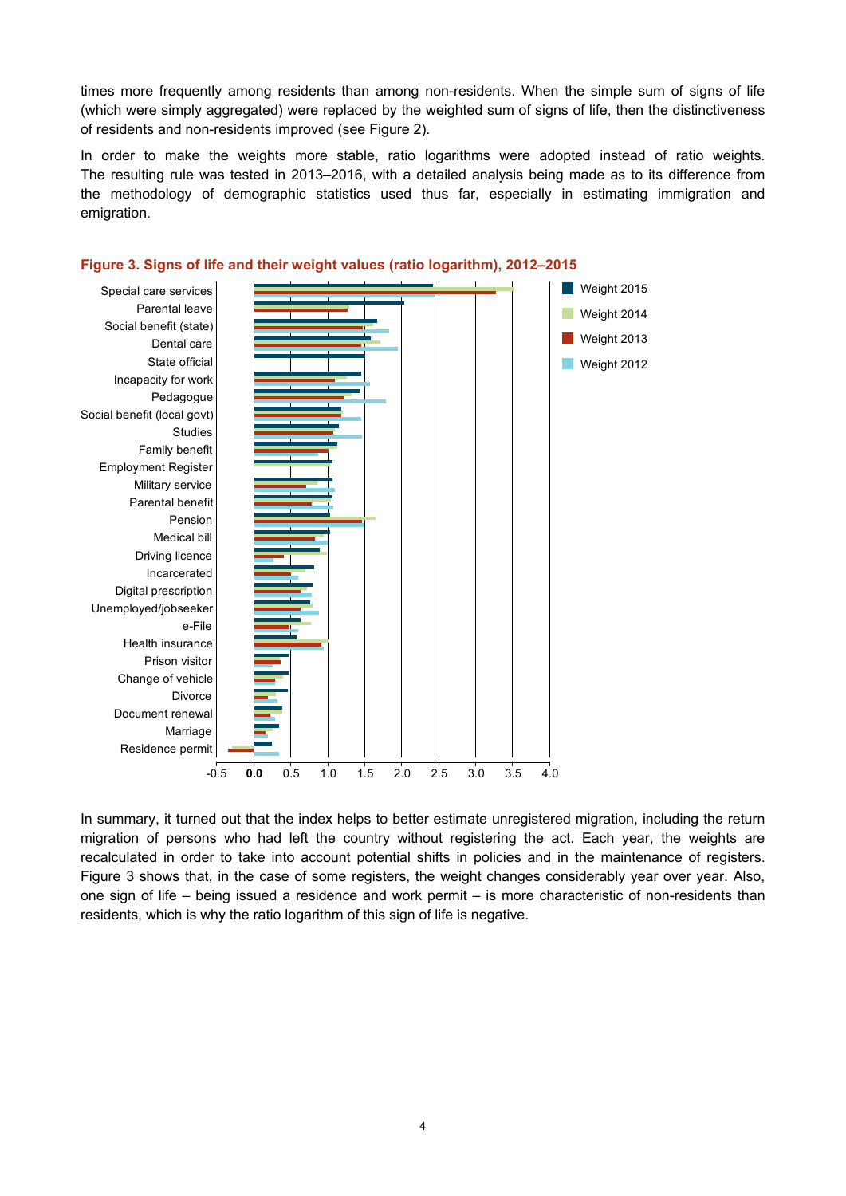times more frequently among residents than among non-residents. When the simple sum of signs of life (which were simply aggregated) were replaced by the weighted sum of signs of life, then the distinctiveness of residents and non-residents improved (see Figure 2).

In order to make the weights more stable, ratio logarithms were adopted instead of ratio weights. The resulting rule was tested in 2013–2016, with a detailed analysis being made as to its difference from the methodology of demographic statistics used thus far, especially in estimating immigration and emigration.



#### **Figure 3. Signs of life and their weight values (ratio logarithm), 2012–2015**

In summary, it turned out that the index helps to better estimate unregistered migration, including the return migration of persons who had left the country without registering the act. Each year, the weights are recalculated in order to take into account potential shifts in policies and in the maintenance of registers. Figure 3 shows that, in the case of some registers, the weight changes considerably year over year. Also, one sign of life – being issued a residence and work permit – is more characteristic of non-residents than residents, which is why the ratio logarithm of this sign of life is negative.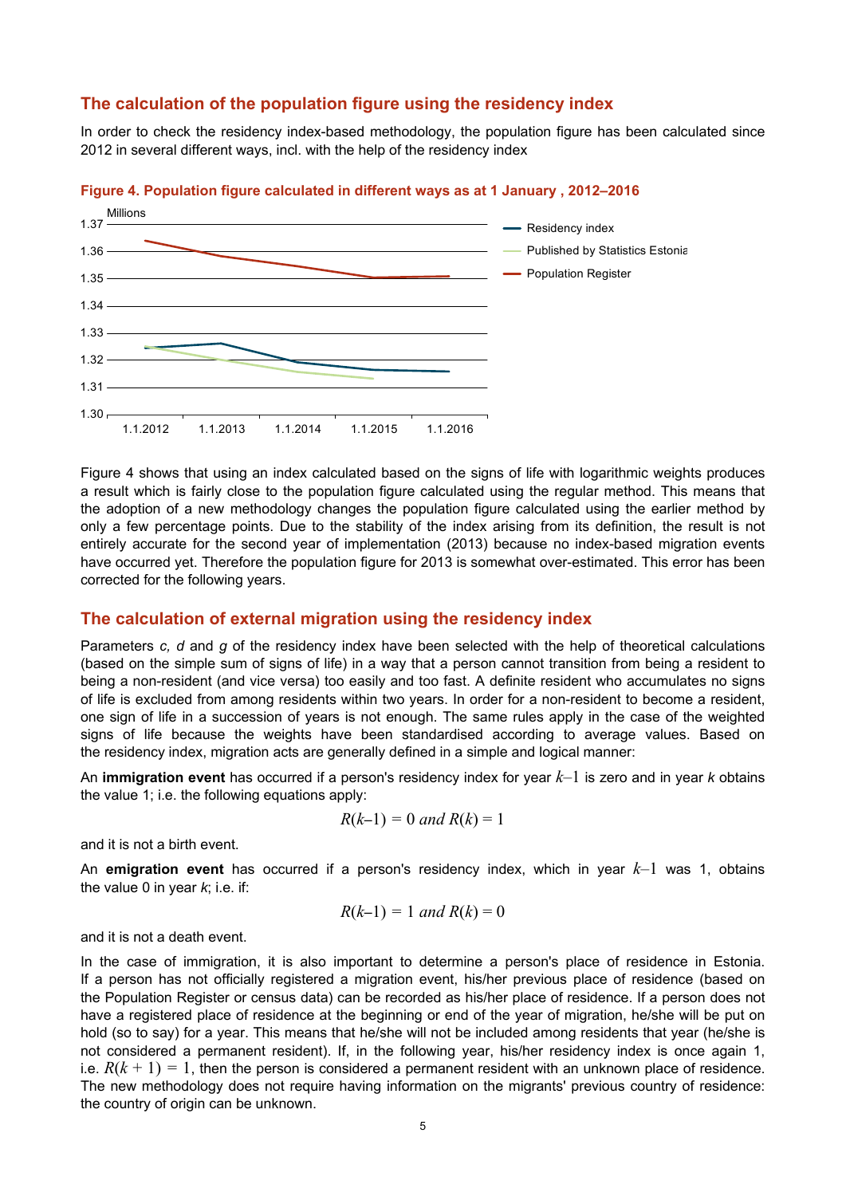#### **The calculation of the population figure using the residency index**

In order to check the residency index-based methodology, the population figure has been calculated since 2012 in several different ways, incl. with the help of the residency index



**Figure 4. Population figure calculated in different ways as at 1 January , 2012–2016** 

Figure 4 shows that using an index calculated based on the signs of life with logarithmic weights produces a result which is fairly close to the population figure calculated using the regular method. This means that the adoption of a new methodology changes the population figure calculated using the earlier method by only a few percentage points. Due to the stability of the index arising from its definition, the result is not entirely accurate for the second year of implementation (2013) because no index-based migration events have occurred yet. Therefore the population figure for 2013 is somewhat over-estimated. This error has been corrected for the following years.

#### **The calculation of external migration using the residency index**

Parameters *c, d* and *g* of the residency index have been selected with the help of theoretical calculations (based on the simple sum of signs of life) in a way that a person cannot transition from being a resident to being a non-resident (and vice versa) too easily and too fast. A definite resident who accumulates no signs of life is excluded from among residents within two years. In order for a non-resident to become a resident, one sign of life in a succession of years is not enough. The same rules apply in the case of the weighted signs of life because the weights have been standardised according to average values. Based on the residency index, migration acts are generally defined in a simple and logical manner:

An **immigration event** has occurred if a person's residency index for year *k*–1 is zero and in year *k* obtains the value 1; i.e. the following equations apply:

$$
R(k-1) = 0 \ and \ R(k) = 1
$$

and it is not a birth event.

An **emigration event** has occurred if a person's residency index, which in year *k*–1 was 1, obtains the value 0 in year *k*; i.e. if:

$$
R(k-1) = 1
$$
 and 
$$
R(k) = 0
$$

and it is not a death event.

In the case of immigration, it is also important to determine a person's place of residence in Estonia. If a person has not officially registered a migration event, his/her previous place of residence (based on the Population Register or census data) can be recorded as his/her place of residence. If a person does not have a registered place of residence at the beginning or end of the year of migration, he/she will be put on hold (so to say) for a year. This means that he/she will not be included among residents that year (he/she is not considered a permanent resident). If, in the following year, his/her residency index is once again 1, i.e.  $R(k + 1) = 1$ , then the person is considered a permanent resident with an unknown place of residence. The new methodology does not require having information on the migrants' previous country of residence: the country of origin can be unknown.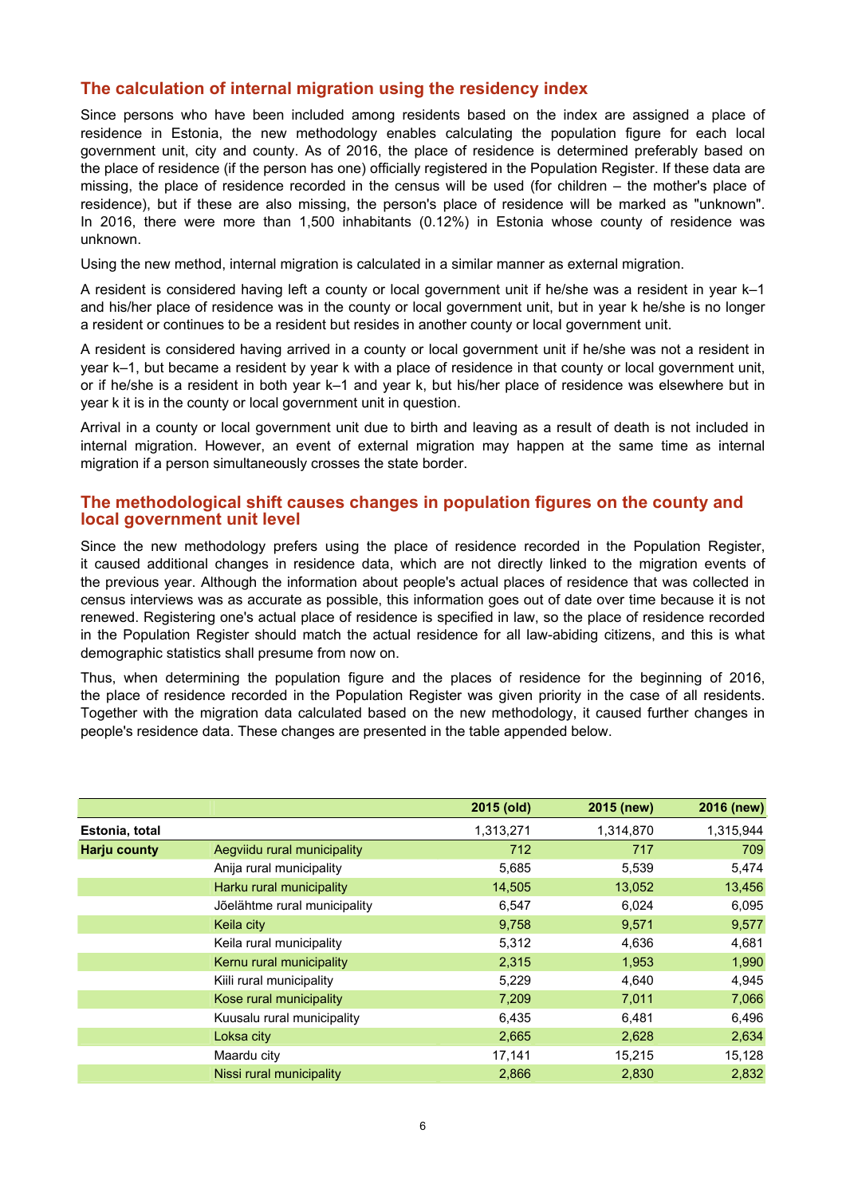## **The calculation of internal migration using the residency index**

Since persons who have been included among residents based on the index are assigned a place of residence in Estonia, the new methodology enables calculating the population figure for each local government unit, city and county. As of 2016, the place of residence is determined preferably based on the place of residence (if the person has one) officially registered in the Population Register. If these data are missing, the place of residence recorded in the census will be used (for children – the mother's place of residence), but if these are also missing, the person's place of residence will be marked as "unknown". In 2016, there were more than 1,500 inhabitants (0.12%) in Estonia whose county of residence was unknown.

Using the new method, internal migration is calculated in a similar manner as external migration.

A resident is considered having left a county or local government unit if he/she was a resident in year k–1 and his/her place of residence was in the county or local government unit, but in year k he/she is no longer a resident or continues to be a resident but resides in another county or local government unit.

A resident is considered having arrived in a county or local government unit if he/she was not a resident in year k–1, but became a resident by year k with a place of residence in that county or local government unit, or if he/she is a resident in both year k–1 and year k, but his/her place of residence was elsewhere but in year k it is in the county or local government unit in question.

Arrival in a county or local government unit due to birth and leaving as a result of death is not included in internal migration. However, an event of external migration may happen at the same time as internal migration if a person simultaneously crosses the state border.

## **The methodological shift causes changes in population figures on the county and local government unit level**

Since the new methodology prefers using the place of residence recorded in the Population Register, it caused additional changes in residence data, which are not directly linked to the migration events of the previous year. Although the information about people's actual places of residence that was collected in census interviews was as accurate as possible, this information goes out of date over time because it is not renewed. Registering one's actual place of residence is specified in law, so the place of residence recorded in the Population Register should match the actual residence for all law-abiding citizens, and this is what demographic statistics shall presume from now on.

Thus, when determining the population figure and the places of residence for the beginning of 2016, the place of residence recorded in the Population Register was given priority in the case of all residents. Together with the migration data calculated based on the new methodology, it caused further changes in people's residence data. These changes are presented in the table appended below.

|                     |                              | 2015 (old) | 2015 (new) | 2016 (new) |
|---------------------|------------------------------|------------|------------|------------|
| Estonia, total      |                              | 1,313,271  | 1,314,870  | 1,315,944  |
| <b>Harju county</b> | Aegviidu rural municipality  | 712        | 717        | 709        |
|                     | Anija rural municipality     | 5,685      | 5,539      | 5,474      |
|                     | Harku rural municipality     | 14,505     | 13,052     | 13,456     |
|                     | Jõelähtme rural municipality | 6,547      | 6,024      | 6,095      |
|                     | Keila city                   | 9,758      | 9,571      | 9,577      |
|                     | Keila rural municipality     | 5,312      | 4,636      | 4,681      |
|                     | Kernu rural municipality     | 2,315      | 1,953      | 1,990      |
|                     | Kiili rural municipality     | 5,229      | 4,640      | 4,945      |
|                     | Kose rural municipality      | 7,209      | 7,011      | 7,066      |
|                     | Kuusalu rural municipality   | 6,435      | 6,481      | 6,496      |
|                     | Loksa city                   | 2,665      | 2,628      | 2,634      |
|                     | Maardu city                  | 17,141     | 15,215     | 15,128     |
|                     | Nissi rural municipality     | 2,866      | 2,830      | 2,832      |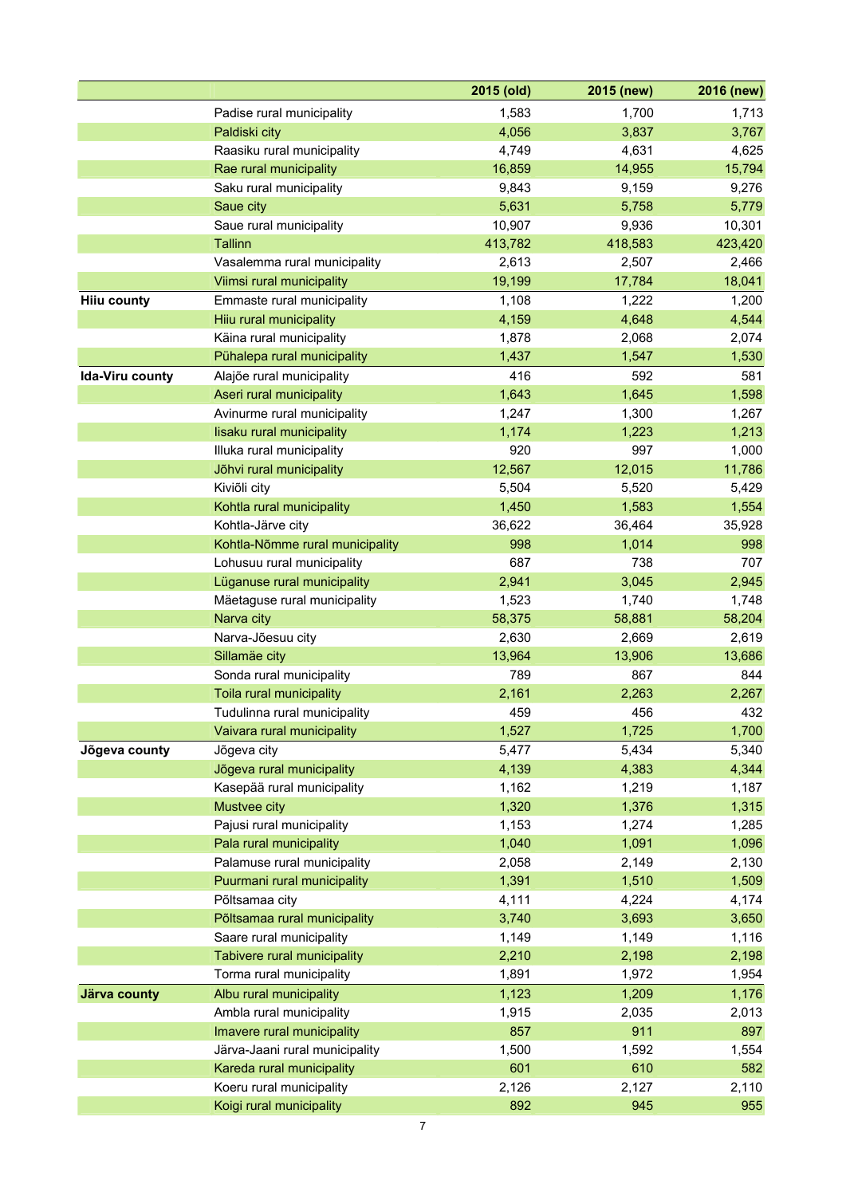|                    |                                 | 2015 (old) | 2015 (new) | 2016 (new) |
|--------------------|---------------------------------|------------|------------|------------|
|                    | Padise rural municipality       | 1,583      | 1,700      | 1,713      |
|                    | Paldiski city                   | 4,056      | 3,837      | 3,767      |
|                    | Raasiku rural municipality      | 4,749      | 4,631      | 4,625      |
|                    | Rae rural municipality          | 16,859     | 14,955     | 15,794     |
|                    | Saku rural municipality         | 9,843      | 9,159      | 9,276      |
|                    | Saue city                       | 5,631      | 5,758      | 5,779      |
|                    | Saue rural municipality         | 10,907     | 9,936      | 10,301     |
|                    | <b>Tallinn</b>                  | 413,782    | 418,583    | 423,420    |
|                    | Vasalemma rural municipality    | 2,613      | 2,507      | 2,466      |
|                    | Viimsi rural municipality       | 19,199     | 17,784     | 18,041     |
| <b>Hiiu county</b> | Emmaste rural municipality      | 1,108      | 1,222      | 1,200      |
|                    | Hiiu rural municipality         | 4,159      | 4,648      | 4,544      |
|                    | Käina rural municipality        | 1,878      | 2,068      | 2,074      |
|                    | Pühalepa rural municipality     | 1,437      | 1,547      | 1,530      |
| Ida-Viru county    | Alajõe rural municipality       | 416        | 592        | 581        |
|                    | Aseri rural municipality        | 1,643      | 1,645      | 1,598      |
|                    | Avinurme rural municipality     | 1,247      | 1,300      | 1,267      |
|                    | lisaku rural municipality       | 1,174      | 1,223      | 1,213      |
|                    | Illuka rural municipality       | 920        | 997        | 1,000      |
|                    | Jõhvi rural municipality        | 12,567     | 12,015     | 11,786     |
|                    | Kiviõli city                    | 5,504      | 5,520      | 5,429      |
|                    | Kohtla rural municipality       | 1,450      | 1,583      | 1,554      |
|                    | Kohtla-Järve city               | 36,622     | 36,464     | 35,928     |
|                    | Kohtla-Nõmme rural municipality | 998        | 1,014      | 998        |
|                    | Lohusuu rural municipality      | 687        | 738        | 707        |
|                    | Lüganuse rural municipality     | 2,941      | 3,045      | 2,945      |
|                    | Mäetaguse rural municipality    | 1,523      | 1,740      | 1,748      |
|                    | Narva city                      | 58,375     | 58,881     | 58,204     |
|                    | Narva-Jõesuu city               | 2,630      | 2,669      | 2,619      |
|                    | Sillamäe city                   | 13,964     | 13,906     | 13,686     |
|                    | Sonda rural municipality        | 789        | 867        | 844        |
|                    | Toila rural municipality        | 2,161      | 2,263      | 2,267      |
|                    | Tudulinna rural municipality    | 459        | 456        | 432        |
|                    | Vaivara rural municipality      | 1,527      | 1,725      | 1,700      |
| Jõgeva county      | Jõgeva city                     | 5,477      | 5,434      | 5,340      |
|                    | Jõgeva rural municipality       | 4,139      | 4,383      | 4,344      |
|                    | Kasepää rural municipality      | 1,162      | 1,219      | 1,187      |
|                    | Mustvee city                    | 1,320      | 1,376      | 1,315      |
|                    | Pajusi rural municipality       | 1,153      | 1,274      | 1,285      |
|                    | Pala rural municipality         | 1,040      | 1,091      | 1,096      |
|                    | Palamuse rural municipality     | 2,058      | 2,149      | 2,130      |
|                    | Puurmani rural municipality     | 1,391      | 1,510      | 1,509      |
|                    | Põltsamaa city                  | 4,111      | 4,224      | 4,174      |
|                    | Põltsamaa rural municipality    | 3,740      | 3,693      | 3,650      |
|                    | Saare rural municipality        | 1,149      | 1,149      | 1,116      |
|                    | Tabivere rural municipality     | 2,210      | 2,198      | 2,198      |
|                    | Torma rural municipality        | 1,891      | 1,972      | 1,954      |
| Järva county       | Albu rural municipality         | 1,123      | 1,209      | 1,176      |
|                    | Ambla rural municipality        | 1,915      | 2,035      | 2,013      |
|                    | Imavere rural municipality      | 857        | 911        | 897        |
|                    | Järva-Jaani rural municipality  | 1,500      | 1,592      | 1,554      |
|                    | Kareda rural municipality       | 601        | 610        | 582        |
|                    | Koeru rural municipality        | 2,126      | 2,127      | 2,110      |
|                    | Koigi rural municipality        | 892        | 945        | 955        |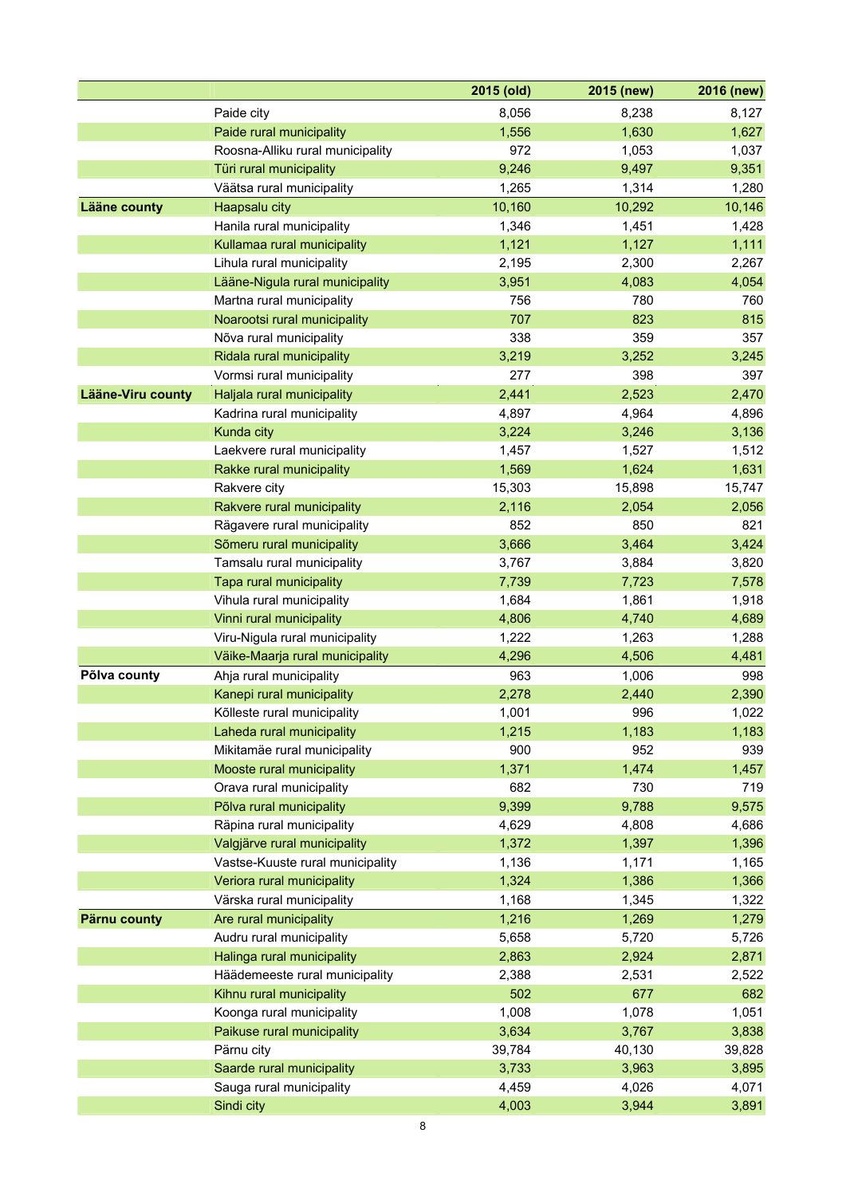|                     |                                  | 2015 (old) | 2015 (new) | 2016 (new) |
|---------------------|----------------------------------|------------|------------|------------|
|                     | Paide city                       | 8,056      | 8,238      | 8,127      |
|                     | Paide rural municipality         | 1,556      | 1,630      | 1,627      |
|                     | Roosna-Alliku rural municipality | 972        | 1,053      | 1,037      |
|                     | Türi rural municipality          | 9,246      | 9,497      | 9,351      |
|                     | Väätsa rural municipality        | 1,265      | 1,314      | 1,280      |
| <b>Lääne county</b> | Haapsalu city                    | 10,160     | 10,292     | 10,146     |
|                     | Hanila rural municipality        | 1,346      | 1,451      | 1,428      |
|                     | Kullamaa rural municipality      | 1,121      | 1,127      | 1,111      |
|                     | Lihula rural municipality        | 2,195      | 2,300      | 2,267      |
|                     | Lääne-Nigula rural municipality  | 3,951      | 4,083      | 4,054      |
|                     | Martna rural municipality        | 756        | 780        | 760        |
|                     | Noarootsi rural municipality     | 707        | 823        | 815        |
|                     | Nõva rural municipality          | 338        | 359        | 357        |
|                     | Ridala rural municipality        | 3,219      | 3,252      | 3,245      |
|                     | Vormsi rural municipality        | 277        | 398        | 397        |
| Lääne-Viru county   | Haljala rural municipality       | 2,441      | 2,523      | 2,470      |
|                     | Kadrina rural municipality       | 4,897      | 4,964      | 4,896      |
|                     | Kunda city                       | 3,224      | 3,246      | 3,136      |
|                     | Laekvere rural municipality      | 1,457      | 1,527      | 1,512      |
|                     | Rakke rural municipality         | 1,569      | 1,624      | 1,631      |
|                     | Rakvere city                     | 15,303     | 15,898     | 15,747     |
|                     | Rakvere rural municipality       | 2,116      | 2,054      | 2,056      |
|                     | Rägavere rural municipality      | 852        | 850        | 821        |
|                     | Sõmeru rural municipality        | 3,666      | 3,464      | 3,424      |
|                     | Tamsalu rural municipality       | 3,767      | 3,884      | 3,820      |
|                     | Tapa rural municipality          | 7,739      | 7,723      | 7,578      |
|                     | Vihula rural municipality        | 1,684      | 1,861      | 1,918      |
|                     | Vinni rural municipality         | 4,806      | 4,740      | 4,689      |
|                     | Viru-Nigula rural municipality   | 1,222      | 1,263      | 1,288      |
|                     | Väike-Maarja rural municipality  | 4,296      | 4,506      | 4,481      |
| Põlva county        | Ahja rural municipality          | 963        | 1,006      | 998        |
|                     | Kanepi rural municipality        | 2,278      | 2,440      | 2,390      |
|                     | Kõlleste rural municipality      | 1,001      | 996        | 1,022      |
|                     | Laheda rural municipality        | 1,215      | 1,183      | 1,183      |
|                     | Mikitamäe rural municipality     | 900        | 952        | 939        |
|                     | Mooste rural municipality        | 1,371      | 1,474      | 1,457      |
|                     | Orava rural municipality         | 682        | 730        | 719        |
|                     | Põlva rural municipality         | 9,399      | 9,788      | 9,575      |
|                     | Räpina rural municipality        | 4,629      | 4,808      | 4,686      |
|                     | Valgjärve rural municipality     | 1,372      | 1,397      | 1,396      |
|                     | Vastse-Kuuste rural municipality | 1,136      | 1,171      | 1,165      |
|                     | Veriora rural municipality       | 1,324      | 1,386      | 1,366      |
|                     | Värska rural municipality        | 1,168      | 1,345      | 1,322      |
| Pärnu county        | Are rural municipality           | 1,216      | 1,269      | 1,279      |
|                     | Audru rural municipality         | 5,658      | 5,720      | 5,726      |
|                     | Halinga rural municipality       | 2,863      | 2,924      | 2,871      |
|                     | Häädemeeste rural municipality   | 2,388      | 2,531      | 2,522      |
|                     | Kihnu rural municipality         | 502        | 677        | 682        |
|                     | Koonga rural municipality        | 1,008      | 1,078      | 1,051      |
|                     | Paikuse rural municipality       | 3,634      | 3,767      | 3,838      |
|                     | Pärnu city                       | 39,784     | 40,130     | 39,828     |
|                     | Saarde rural municipality        | 3,733      | 3,963      | 3,895      |
|                     | Sauga rural municipality         | 4,459      | 4,026      | 4,071      |
|                     | Sindi city                       | 4,003      | 3,944      | 3,891      |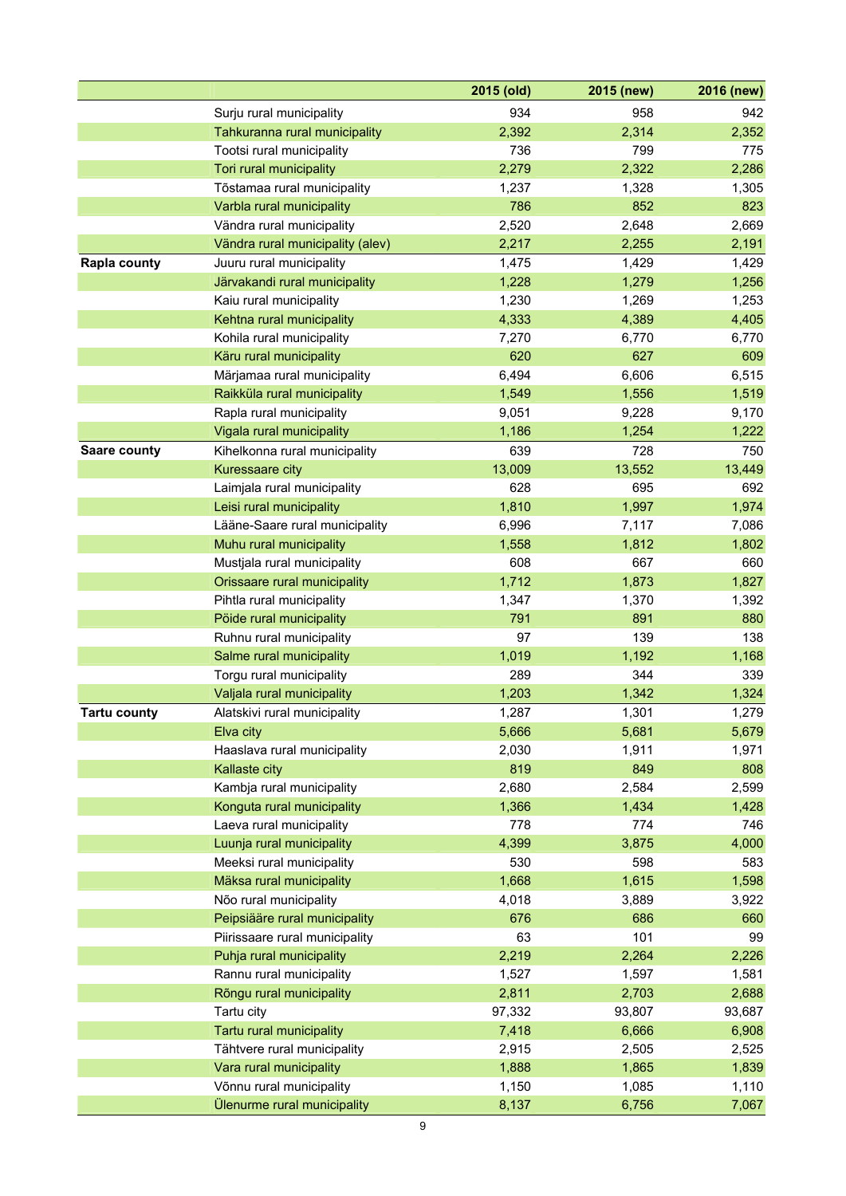|                     |                                  | 2015 (old) | 2015 (new) | 2016 (new) |
|---------------------|----------------------------------|------------|------------|------------|
|                     | Surju rural municipality         | 934        | 958        | 942        |
|                     | Tahkuranna rural municipality    | 2,392      | 2,314      | 2,352      |
|                     | Tootsi rural municipality        | 736        | 799        | 775        |
|                     | Tori rural municipality          | 2,279      | 2,322      | 2,286      |
|                     | Tõstamaa rural municipality      | 1,237      | 1,328      | 1,305      |
|                     | Varbla rural municipality        | 786        | 852        | 823        |
|                     | Vändra rural municipality        | 2,520      | 2,648      | 2,669      |
|                     | Vändra rural municipality (alev) | 2,217      | 2,255      | 2,191      |
| <b>Rapla county</b> | Juuru rural municipality         | 1,475      | 1,429      | 1,429      |
|                     | Järvakandi rural municipality    | 1,228      | 1,279      | 1,256      |
|                     | Kaiu rural municipality          | 1,230      | 1,269      | 1,253      |
|                     | Kehtna rural municipality        | 4,333      | 4,389      | 4,405      |
|                     | Kohila rural municipality        | 7,270      | 6,770      | 6,770      |
|                     | Käru rural municipality          | 620        | 627        | 609        |
|                     | Märjamaa rural municipality      | 6,494      | 6,606      | 6,515      |
|                     | Raikküla rural municipality      | 1,549      | 1,556      | 1,519      |
|                     | Rapla rural municipality         | 9,051      | 9,228      | 9,170      |
|                     | Vigala rural municipality        | 1,186      | 1,254      | 1,222      |
| <b>Saare county</b> | Kihelkonna rural municipality    | 639        | 728        | 750        |
|                     | Kuressaare city                  | 13,009     | 13,552     | 13,449     |
|                     | Laimjala rural municipality      | 628        | 695        | 692        |
|                     | Leisi rural municipality         | 1,810      | 1,997      | 1,974      |
|                     | Lääne-Saare rural municipality   | 6,996      | 7,117      | 7,086      |
|                     | Muhu rural municipality          | 1,558      | 1,812      | 1,802      |
|                     | Mustjala rural municipality      | 608        | 667        | 660        |
|                     | Orissaare rural municipality     | 1,712      | 1,873      | 1,827      |
|                     | Pihtla rural municipality        | 1,347      | 1,370      | 1,392      |
|                     | Pöide rural municipality         | 791        | 891        | 880        |
|                     | Ruhnu rural municipality         | 97         | 139        | 138        |
|                     | Salme rural municipality         | 1,019      | 1,192      | 1,168      |
|                     | Torgu rural municipality         | 289        | 344        | 339        |
|                     | Valjala rural municipality       | 1,203      | 1,342      | 1,324      |
| <b>Tartu county</b> | Alatskivi rural municipality     | 1,287      | 1,301      | 1,279      |
|                     | Elva city                        | 5,666      | 5,681      | 5,679      |
|                     | Haaslava rural municipality      | 2,030      | 1,911      | 1,971      |
|                     | Kallaste city                    | 819        | 849        | 808        |
|                     | Kambja rural municipality        | 2,680      | 2,584      | 2,599      |
|                     | Konguta rural municipality       | 1,366      | 1,434      | 1,428      |
|                     | Laeva rural municipality         | 778        | 774        | 746        |
|                     | Luunja rural municipality        | 4,399      | 3,875      | 4,000      |
|                     | Meeksi rural municipality        | 530        | 598        | 583        |
|                     | Mäksa rural municipality         | 1,668      | 1,615      | 1,598      |
|                     | Nõo rural municipality           | 4,018      | 3,889      | 3,922      |
|                     | Peipsiääre rural municipality    | 676        | 686        | 660        |
|                     | Piirissaare rural municipality   | 63         | 101        | 99         |
|                     | Puhja rural municipality         | 2,219      | 2,264      | 2,226      |
|                     | Rannu rural municipality         | 1,527      | 1,597      | 1,581      |
|                     | Rõngu rural municipality         | 2,811      | 2,703      | 2,688      |
|                     | Tartu city                       | 97,332     | 93,807     | 93,687     |
|                     | Tartu rural municipality         | 7,418      | 6,666      | 6,908      |
|                     | Tähtvere rural municipality      | 2,915      | 2,505      | 2,525      |
|                     | Vara rural municipality          | 1,888      | 1,865      | 1,839      |
|                     | Võnnu rural municipality         | 1,150      | 1,085      | 1,110      |
|                     | Ülenurme rural municipality      | 8,137      | 6,756      | 7,067      |